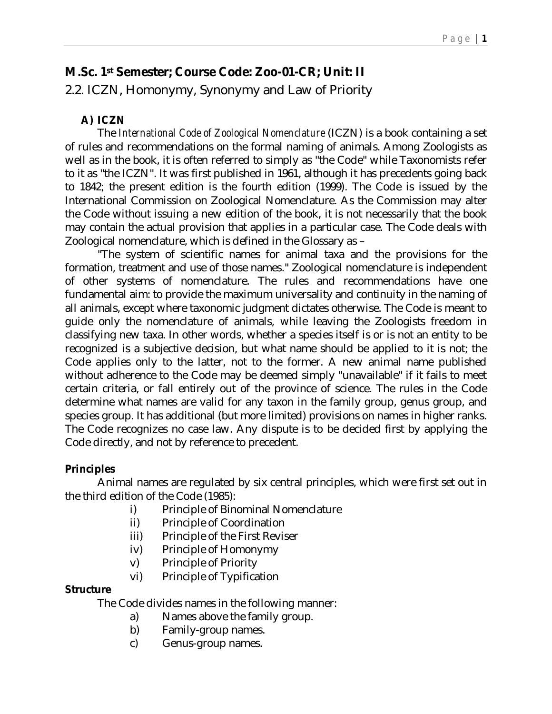# **M.Sc. 1st Semester; Course Code: Zoo-01-CR; Unit: II**

2.2. ICZN, Homonymy, Synonymy and Law of Priority

### **A) ICZN**

The *International Code of Zoological Nomenclature* (ICZN) is a book containing a set of rules and recommendations on the formal naming of animals. Among Zoologists as well as in the book, it is often referred to simply as "the Code" while Taxonomists refer to it as "the ICZN". It was first published in 1961, although it has precedents going back to 1842; the present edition is the fourth edition (1999). The Code is issued by the International Commission on Zoological Nomenclature. As the Commission may alter the Code without issuing a new edition of the book, it is not necessarily that the book may contain the actual provision that applies in a particular case. The Code deals with Zoological nomenclature, which is defined in the Glossary as –

"The system of scientific names for animal taxa and the provisions for the formation, treatment and use of those names." Zoological nomenclature is independent of other systems of nomenclature. The rules and recommendations have one fundamental aim: to provide the maximum universality and continuity in the naming of all animals, except where taxonomic judgment dictates otherwise. The Code is meant to guide only the nomenclature of animals, while leaving the Zoologists freedom in classifying new taxa. In other words, whether a species itself is or is not an entity to be recognized is a subjective decision, but what name should be applied to it is not; the Code applies only to the latter, not to the former. A new animal name published without adherence to the Code may be deemed simply "unavailable" if it fails to meet certain criteria, or fall entirely out of the province of science. The rules in the Code determine what names are valid for any taxon in the family group, genus group, and species group. It has additional (but more limited) provisions on names in higher ranks. The Code recognizes no case law. Any dispute is to be decided first by applying the Code directly, and not by reference to precedent.

### **Principles**

Animal names are regulated by six central principles, which were first set out in the third edition of the Code (1985):

- i) Principle of Binominal Nomenclature
- ii) Principle of Coordination
- iii) Principle of the First Reviser
- iv) Principle of Homonymy
- v) Principle of Priority
- vi) Principle of Typification

### **Structure**

The Code divides names in the following manner:

- a) Names above the family group.
- b) Family-group names.
- c) Genus-group names.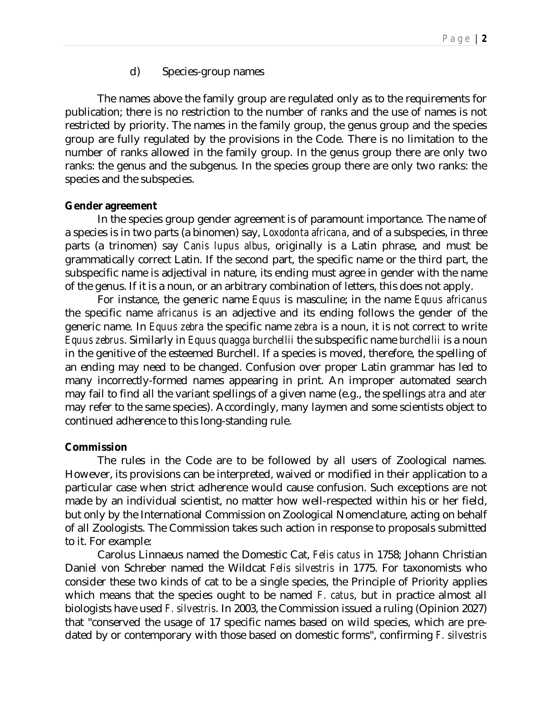#### d) Species-group names

The names above the family group are regulated only as to the requirements for publication; there is no restriction to the number of ranks and the use of names is not restricted by priority. The names in the family group, the genus group and the species group are fully regulated by the provisions in the Code. There is no limitation to the number of ranks allowed in the family group. In the genus group there are only two ranks: the genus and the subgenus. In the species group there are only two ranks: the species and the subspecies.

#### **Gender agreement**

In the species group gender agreement is of paramount importance. The name of a species is in two parts (a binomen) say, *Loxodonta africana*, and of a subspecies, in three parts (a trinomen) say *Canis lupus albus*, originally is a Latin phrase, and must be grammatically correct Latin. If the second part, the specific name or the third part, the subspecific name is adjectival in nature, its ending must agree in gender with the name of the genus. If it is a noun, or an arbitrary combination of letters, this does not apply.

For instance, the generic name *Equus* is masculine; in the name *Equus africanus* the specific name *africanus* is an adjective and its ending follows the gender of the generic name. In *Equus zebra* the specific name *zebra* is a noun, it is not correct to write *Equus zebrus*. Similarly in *Equus quagga burchellii* the subspecific name *burchellii* is a noun in the genitive of the esteemed Burchell. If a species is moved, therefore, the spelling of an ending may need to be changed. Confusion over proper Latin grammar has led to many incorrectly-formed names appearing in print. An improper automated search may fail to find all the variant spellings of a given name (e.g., the spellings *atra* and *ater* may refer to the same species). Accordingly, many laymen and some scientists object to continued adherence to this long-standing rule.

#### **Commission**

The rules in the Code are to be followed by all users of Zoological names. However, its provisions can be interpreted, waived or modified in their application to a particular case when strict adherence would cause confusion. Such exceptions are not made by an individual scientist, no matter how well-respected within his or her field, but only by the International Commission on Zoological Nomenclature, acting on behalf of all Zoologists. The Commission takes such action in response to proposals submitted to it. For example:

Carolus Linnaeus named the Domestic Cat, *Felis catus* in 1758; Johann Christian Daniel von Schreber named the Wildcat *Felis silvestris* in 1775. For taxonomists who consider these two kinds of cat to be a single species, the Principle of Priority applies which means that the species ought to be named *F. catus*, but in practice almost all biologists have used *F. silvestris*. In 2003, the Commission issued a ruling (Opinion 2027) that "conserved the usage of 17 specific names based on wild species, which are predated by or contemporary with those based on domestic forms", confirming *F. silvestris*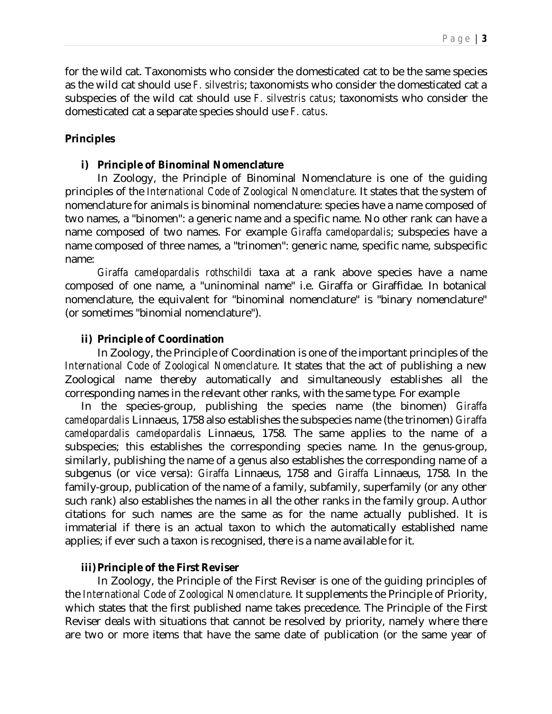for the wild cat. Taxonomists who consider the domesticated cat to be the same species as the wild cat should use *F. silvestris*; taxonomists who consider the domesticated cat a subspecies of the wild cat should use *F. silvestris catus*; taxonomists who consider the domesticated cat a separate species should use *F. catus*.

### **Principles**

#### **i) Principle of Binominal Nomenclature**

In Zoology, the Principle of Binominal Nomenclature is one of the guiding principles of the *International Code of Zoological Nomenclature*. It states that the system of nomenclature for animals is binominal nomenclature: species have a name composed of two names, a "binomen": a generic name and a specific name. No other rank can have a name composed of two names. For example *Giraffa camelopardalis*; subspecies have a name composed of three names, a "trinomen": generic name, specific name, subspecific name:

*Giraffa camelopardalis rothschildi* taxa at a rank above species have a name composed of one name, a "uninominal name" i.e. Giraffa or Giraffidae. In botanical nomenclature, the equivalent for "binominal nomenclature" is "binary nomenclature" (or sometimes "binomial nomenclature").

### **ii) Principle of Coordination**

In Zoology, the Principle of Coordination is one of the important principles of the *International Code of Zoological Nomenclature*. It states that the act of publishing a new Zoological name thereby automatically and simultaneously establishes all the corresponding names in the relevant other ranks, with the same type. For example

In the species-group, publishing the species name (the binomen) *Giraffa camelopardalis* Linnaeus, 1758 also establishes the subspecies name (the trinomen) *Giraffa camelopardalis camelopardalis* Linnaeus, 1758. The same applies to the name of a subspecies; this establishes the corresponding species name. In the genus-group, similarly, publishing the name of a genus also establishes the corresponding name of a subgenus (or vice versa): *Giraffa* Linnaeus, 1758 and *Giraffa* Linnaeus, 1758. In the family-group, publication of the name of a family, subfamily, superfamily (or any other such rank) also establishes the names in all the other ranks in the family group. Author citations for such names are the same as for the name actually published. It is immaterial if there is an actual taxon to which the automatically established name applies; if ever such a taxon is recognised, there is a name available for it.

### **iii)Principle of the First Reviser**

In Zoology, the Principle of the First Reviser is one of the guiding principles of the *International Code of Zoological Nomenclature*. It supplements the Principle of Priority, which states that the first published name takes precedence. The Principle of the First Reviser deals with situations that cannot be resolved by priority, namely where there are two or more items that have the same date of publication (or the same year of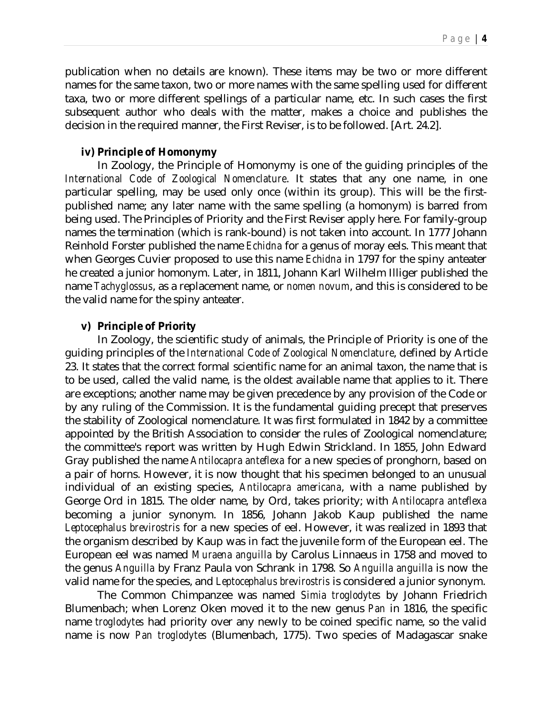publication when no details are known). These items may be two or more different names for the same taxon, two or more names with the same spelling used for different taxa, two or more different spellings of a particular name, etc. In such cases the first subsequent author who deals with the matter, makes a choice and publishes the decision in the required manner, the First Reviser, is to be followed. [Art. 24.2].

#### **iv) Principle of Homonymy**

In Zoology, the Principle of Homonymy is one of the guiding principles of the *International Code of Zoological Nomenclature*. It states that any one name, in one particular spelling, may be used only once (within its group). This will be the firstpublished name; any later name with the same spelling (a homonym) is barred from being used. The Principles of Priority and the First Reviser apply here. For family-group names the termination (which is rank-bound) is not taken into account. In 1777 Johann Reinhold Forster published the name *Echidna* for a genus of moray eels. This meant that when Georges Cuvier proposed to use this name *Echidna* in 1797 for the spiny anteater he created a junior homonym. Later, in 1811, Johann Karl Wilhelm Illiger published the name *Tachyglossus*, as a replacement name, or *nomen novum*, and this is considered to be the valid name for the spiny anteater.

### **v) Principle of Priority**

In Zoology, the scientific study of animals, the Principle of Priority is one of the guiding principles of the *International Code of Zoological Nomenclature*, defined by Article 23. It states that the correct formal scientific name for an animal taxon, the name that is to be used, called the valid name, is the oldest available name that applies to it. There are exceptions; another name may be given precedence by any provision of the Code or by any ruling of the Commission. It is the fundamental guiding precept that preserves the stability of Zoological nomenclature. It was first formulated in 1842 by a committee appointed by the British Association to consider the rules of Zoological nomenclature; the committee's report was written by Hugh Edwin Strickland. In 1855, John Edward Gray published the name *Antilocapra anteflexa* for a new species of pronghorn, based on a pair of horns. However, it is now thought that his specimen belonged to an unusual individual of an existing species, *Antilocapra americana*, with a name published by George Ord in 1815. The older name, by Ord, takes priority; with *Antilocapra anteflexa* becoming a junior synonym. In 1856, Johann Jakob Kaup published the name *Leptocephalus brevirostris* for a new species of eel. However, it was realized in 1893 that the organism described by Kaup was in fact the juvenile form of the European eel. The European eel was named *Muraena anguilla* by Carolus Linnaeus in 1758 and moved to the genus *Anguilla* by Franz Paula von Schrank in 1798. So *Anguilla anguilla* is now the valid name for the species, and *Leptocephalus brevirostris* is considered a junior synonym.

The Common Chimpanzee was named *Simia troglodytes* by Johann Friedrich Blumenbach; when Lorenz Oken moved it to the new genus *Pan* in 1816, the specific name *troglodytes* had priority over any newly to be coined specific name, so the valid name is now *Pan troglodytes* (Blumenbach, 1775). Two species of Madagascar snake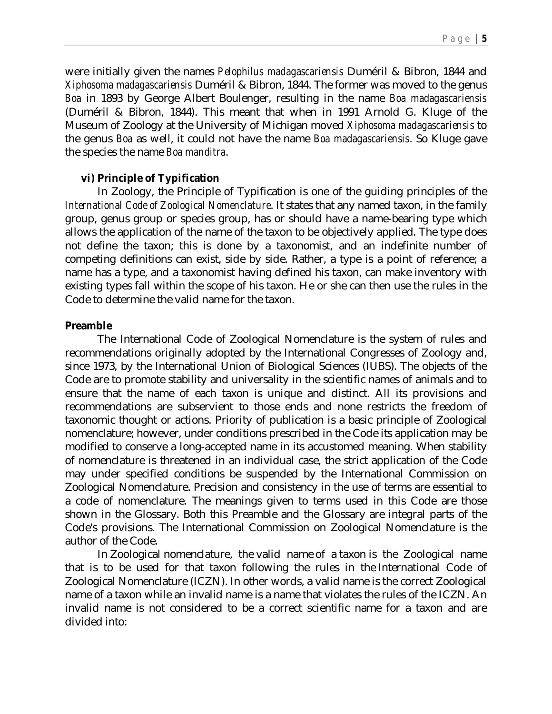were initially given the names *Pelophilus madagascariensis* Duméril & Bibron, 1844 and *Xiphosoma madagascariensis* Duméril & Bibron, 1844. The former was moved to the genus *Boa* in 1893 by George Albert Boulenger, resulting in the name *Boa madagascariensis* (Duméril & Bibron, 1844). This meant that when in 1991 Arnold G. Kluge of the Museum of Zoology at the University of Michigan moved *Xiphosoma madagascariensis* to the genus *Boa* as well, it could not have the name *Boa madagascariensis*. So Kluge gave the species the name *Boa manditra*.

#### **vi) Principle of Typification**

In Zoology, the Principle of Typification is one of the guiding principles of the *International Code of Zoological Nomenclature*. It states that any named taxon, in the family group, genus group or species group, has or should have a name-bearing type which allows the application of the name of the taxon to be objectively applied. The type does not define the taxon; this is done by a taxonomist, and an indefinite number of competing definitions can exist, side by side. Rather, a type is a point of reference; a name has a type, and a taxonomist having defined his taxon, can make inventory with existing types fall within the scope of his taxon. He or she can then use the rules in the Code to determine the valid name for the taxon.

#### **Preamble**

The International Code of Zoological Nomenclature is the system of rules and recommendations originally adopted by the International Congresses of Zoology and, since 1973, by the International Union of Biological Sciences (IUBS). The objects of the Code are to promote stability and universality in the scientific names of animals and to ensure that the name of each taxon is unique and distinct. All its provisions and recommendations are subservient to those ends and none restricts the freedom of taxonomic thought or actions. Priority of publication is a basic principle of Zoological nomenclature; however, under conditions prescribed in the Code its application may be modified to conserve a long-accepted name in its accustomed meaning. When stability of nomenclature is threatened in an individual case, the strict application of the Code may under specified conditions be suspended by the International Commission on Zoological Nomenclature. Precision and consistency in the use of terms are essential to a code of nomenclature. The meanings given to terms used in this Code are those shown in the Glossary. Both this Preamble and the Glossary are integral parts of the Code's provisions. The International Commission on Zoological Nomenclature is the author of the Code.

In Zoological nomenclature, the valid name of a taxon is the Zoological name that is to be used for that taxon following the rules in the International Code of Zoological Nomenclature (ICZN). In other words, a valid name is the correct Zoological name of a taxon while an invalid name is a name that violates the rules of the ICZN. An invalid name is not considered to be a correct scientific name for a taxon and are divided into: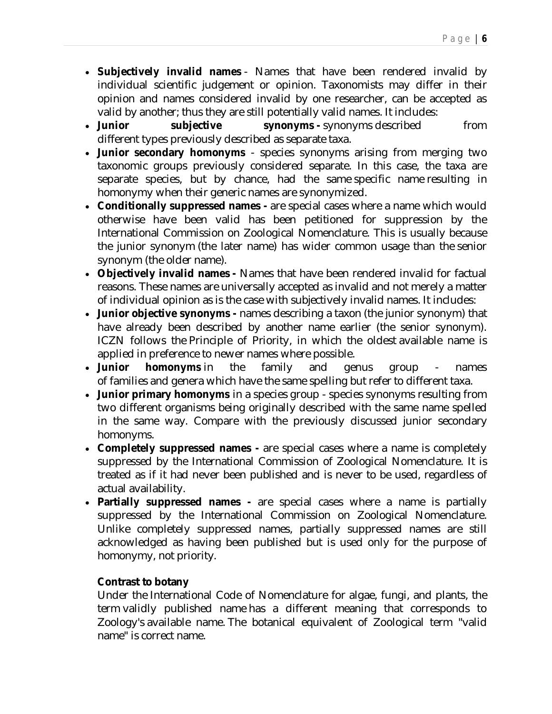- **Subjectively invalid names** Names that have been rendered invalid by individual scientific judgement or opinion. Taxonomists may differ in their opinion and names considered invalid by one researcher, can be accepted as valid by another; thus they are still potentially valid names. It includes:
- **.** Junior subjective synonyms synonyms described from different types previously described as separate taxa.
- **Junior secondary homonyms** species synonyms arising from merging two taxonomic groups previously considered separate. In this case, the taxa are separate species, but by chance, had the same specific name resulting in homonymy when their generic names are synonymized.
- **Conditionally suppressed names -** are special cases where a name which would otherwise have been valid has been petitioned for suppression by the International Commission on Zoological Nomenclature. This is usually because the junior synonym (the later name) has wider common usage than the senior synonym (the older name).
- **Objectively invalid names -** Names that have been rendered invalid for factual reasons. These names are universally accepted as invalid and not merely a matter of individual opinion as is the case with subjectively invalid names. It includes:
- **Junior objective synonyms -** names describing a taxon (the junior synonym) that have already been described by another name earlier (the senior synonym). ICZN follows the Principle of Priority, in which the oldest available name is applied in preference to newer names where possible.
- **Junior homonyms** in the family and genus group names of families and genera which have the same spelling but refer to different taxa.
- **Junior primary homonyms** in a species group species synonyms resulting from two different organisms being originally described with the same name spelled in the same way. Compare with the previously discussed junior secondary homonyms.
- **Completely suppressed names -** are special cases where a name is completely suppressed by the International Commission of Zoological Nomenclature. It is treated as if it had never been published and is never to be used, regardless of actual availability.
- **Partially suppressed names -** are special cases where a name is partially suppressed by the International Commission on Zoological Nomenclature. Unlike completely suppressed names, partially suppressed names are still acknowledged as having been published but is used only for the purpose of homonymy, not priority.

### **Contrast to botany**

Under the International Code of Nomenclature for algae, fungi, and plants, the term validly published name has a different meaning that corresponds to Zoology's available name. The botanical equivalent of Zoological term "valid name" is correct name.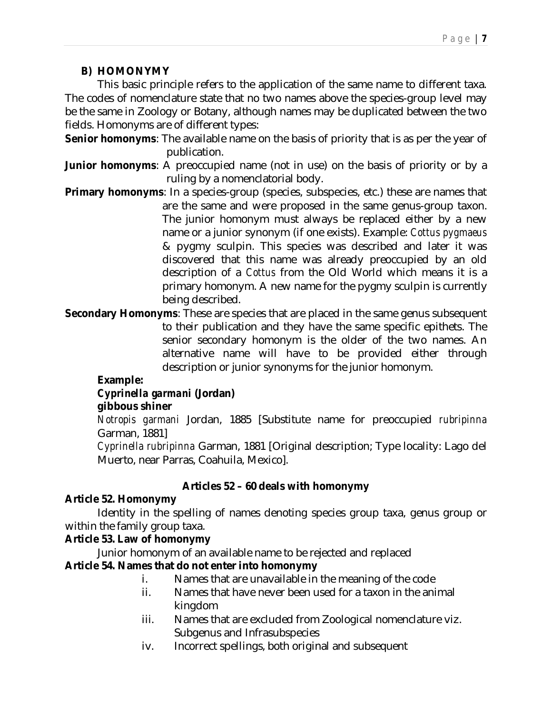### **B) HOMONYMY**

This basic principle refers to the application of the same name to different taxa. The codes of nomenclature state that no two names above the species-group level may be the same in Zoology or Botany, although names may be duplicated between the two fields. Homonyms are of different types:

**Senior homonyms**: The available name on the basis of priority that is as per the year of publication.

- **Junior homonyms**: A preoccupied name (not in use) on the basis of priority or by a ruling by a nomenclatorial body.
- **Primary homonyms**: In a species-group (species, subspecies, etc.) these are names that are the same and were proposed in the same genus-group taxon. The junior homonym must always be replaced either by a new name or a junior synonym (if one exists). Example: *Cottus pygmaeus* & pygmy sculpin. This species was described and later it was discovered that this name was already preoccupied by an old description of a *Cottus* from the Old World which means it is a primary homonym. A new name for the pygmy sculpin is currently being described.
- **Secondary Homonyms**: These are species that are placed in the same genus subsequent to their publication and they have the same specific epithets. The senior secondary homonym is the older of the two names. An alternative name will have to be provided either through description or junior synonyms for the junior homonym.

### **Example:**

### *Cyprinella garmani* **(Jordan)**

### **gibbous shiner**

*Notropis garmani* Jordan, 1885 [Substitute name for preoccupied *rubripinna* Garman, 1881]

*Cyprinella rubripinna* Garman, 1881 [Original description; Type locality: Lago del Muerto, near Parras, Coahuila, Mexico].

### **Articles 52 – 60 deals with homonymy**

### **Article 52. Homonymy**

Identity in the spelling of names denoting species group taxa, genus group or within the family group taxa.

### **Article 53. Law of homonymy**

Junior homonym of an available name to be rejected and replaced **Article 54. Names that do not enter into homonymy**

- i. Names that are unavailable in the meaning of the code
- ii. Names that have never been used for a taxon in the animal kingdom
- iii. Names that are excluded from Zoological nomenclature viz. Subgenus and Infrasubspecies
- iv. Incorrect spellings, both original and subsequent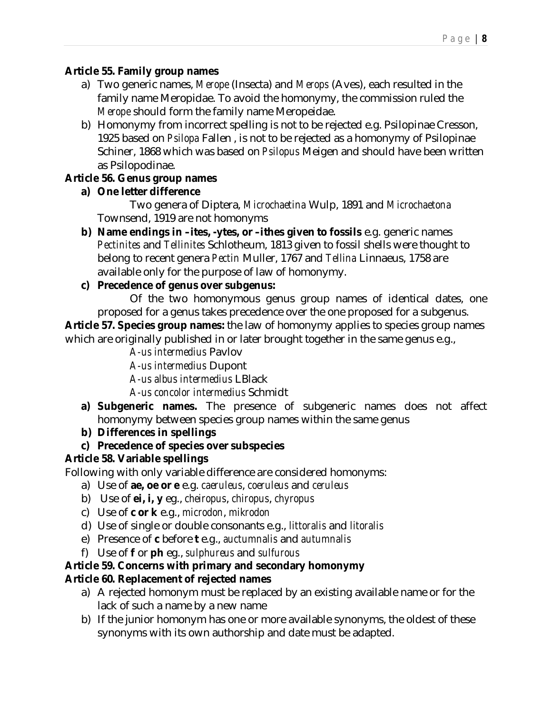### **Article 55. Family group names**

- a) Two generic names, *Merope* (Insecta) and *Merops* (Aves), each resulted in the family name Meropidae. To avoid the homonymy, the commission ruled the *Merope* should form the family name Meropeidae.
- b) Homonymy from incorrect spelling is not to be rejected e.g. Psilopinae Cresson, 1925 based on *Psilopa* Fallen , is not to be rejected as a homonymy of Psilopinae Schiner, 1868 which was based on *Psilopus* Meigen and should have been written as Psilopodinae.

### **Article 56. Genus group names**

**a) One letter difference**

Two genera of Diptera, *Microchaetina* Wulp, 1891 and *Microchaetona* Townsend, 1919 are not homonyms

**b) Name endings in –ites, -ytes, or –ithes given to fossils** e.g. generic names *Pectinites* and *Tellinites* Schlotheum, 1813 given to fossil shells were thought to belong to recent genera *Pectin* Muller, 1767 and *Tellina* Linnaeus, 1758 are available only for the purpose of law of homonymy.

### **c) Precedence of genus over subgenus:**

Of the two homonymous genus group names of identical dates, one proposed for a genus takes precedence over the one proposed for a subgenus. **Article 57. Species group names:** the law of homonymy applies to species group names which are originally published in or later brought together in the same genus e.g.,

*A-us intermedius* Pavlov

*A-us intermedius* Dupont

*A-us albus intermedius* LBlack

*A-us concolor intermedius* Schmidt

- **a) Subgeneric names.** The presence of subgeneric names does not affect homonymy between species group names within the same genus
- **b) Differences in spellings**
- **c) Precedence of species over subspecies**

### **Article 58. Variable spellings**

Following with only variable difference are considered homonyms:

- a) Use of **ae, oe or e** e.g. *caeruleus*, *coeruleus* and *ceruleus*
- b) Use of **ei, i, y** eg., *cheiropus*, *chiropus*, *chyropus*
- c) Use of **c or k** e.g., *microdon*, *mikrodon*
- d) Use of single or double consonants e.g., *littoralis* and *litoralis*
- e) Presence of **c** before **t** e.g., *auctumnalis* and *autumnalis*
- f) Use of **f** or **ph** eg., *sulphureus* and *sulfurous*

# **Article 59. Concerns with primary and secondary homonymy**

# **Article 60. Replacement of rejected names**

- a) A rejected homonym must be replaced by an existing available name or for the lack of such a name by a new name
- b) If the junior homonym has one or more available synonyms, the oldest of these synonyms with its own authorship and date must be adapted.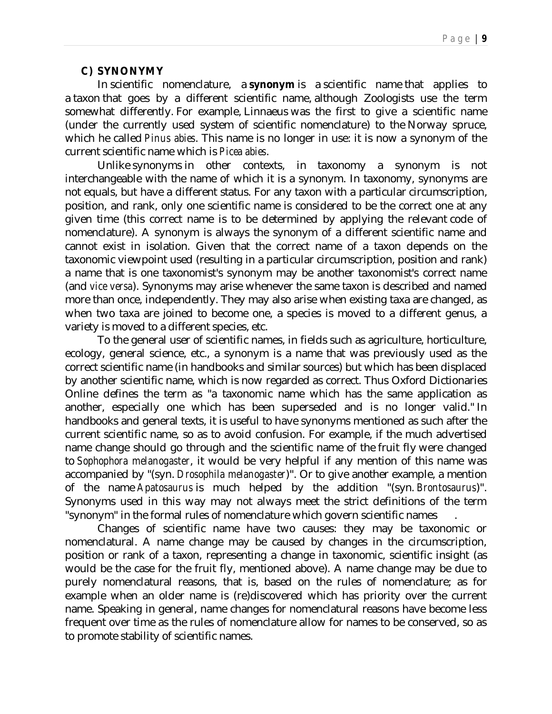#### **C) SYNONYMY**

In scientific nomenclature, a **synonym** is a scientific name that applies to a taxon that goes by a different scientific name, although Zoologists use the term somewhat differently. For example, Linnaeus was the first to give a scientific name (under the currently used system of scientific nomenclature) to the Norway spruce, which he called *Pinus abies*. This name is no longer in use: it is now a synonym of the current scientific name which is *Picea abies*.

Unlike synonyms in other contexts, in taxonomy a synonym is not interchangeable with the name of which it is a synonym. In taxonomy, synonyms are not equals, but have a different status. For any taxon with a particular circumscription, position, and rank, only one scientific name is considered to be the correct one at any given time (this correct name is to be determined by applying the relevant code of nomenclature). A synonym is always the synonym of a different scientific name and cannot exist in isolation. Given that the correct name of a taxon depends on the taxonomic viewpoint used (resulting in a particular circumscription, position and rank) a name that is one taxonomist's synonym may be another taxonomist's correct name (and *vice versa*). Synonyms may arise whenever the same taxon is described and named more than once, independently. They may also arise when existing taxa are changed, as when two taxa are joined to become one, a species is moved to a different genus, a variety is moved to a different species, etc.

To the general user of scientific names, in fields such as agriculture, horticulture, ecology, general science, etc., a synonym is a name that was previously used as the correct scientific name (in handbooks and similar sources) but which has been displaced by another scientific name, which is now regarded as correct. Thus Oxford Dictionaries Online defines the term as "a taxonomic name which has the same application as another, especially one which has been superseded and is no longer valid." In handbooks and general texts, it is useful to have synonyms mentioned as such after the current scientific name, so as to avoid confusion. For example, if the much advertised name change should go through and the scientific name of the fruit fly were changed to *Sophophora melanogaster*, it would be very helpful if any mention of this name was accompanied by "(syn. *Drosophila melanogaster*)". Or to give another example, a mention of the name *Apatosaurus* is much helped by the addition "(syn. *Brontosaurus*)". Synonyms used in this way may not always meet the strict definitions of the term "synonym" in the formal rules of nomenclature which govern scientific names .

Changes of scientific name have two causes: they may be taxonomic or nomenclatural. A name change may be caused by changes in the circumscription, position or rank of a taxon, representing a change in taxonomic, scientific insight (as would be the case for the fruit fly, mentioned above). A name change may be due to purely nomenclatural reasons, that is, based on the rules of nomenclature; as for example when an older name is (re)discovered which has priority over the current name. Speaking in general, name changes for nomenclatural reasons have become less frequent over time as the rules of nomenclature allow for names to be conserved, so as to promote stability of scientific names.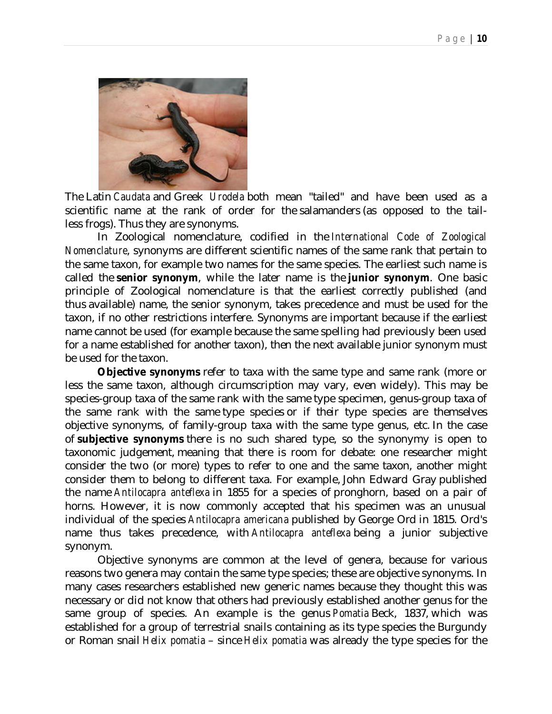

The Latin *Caudata* and Greek *Urodela* both mean "tailed" and have been used as a scientific name at the rank of order for the salamanders (as opposed to the tailless frogs). Thus they are synonyms.

In Zoological nomenclature, codified in the *International Code of Zoological Nomenclature*, synonyms are different scientific names of the same rank that pertain to the same taxon, for example two names for the same species. The earliest such name is called the **senior synonym**, while the later name is the **junior synonym**. One basic principle of Zoological nomenclature is that the earliest correctly published (and thus available) name, the senior synonym, takes precedence and must be used for the taxon, if no other restrictions interfere. Synonyms are important because if the earliest name cannot be used (for example because the same spelling had previously been used for a name established for another taxon), then the next available junior synonym must be used for the taxon.

**Objective synonyms** refer to taxa with the same type and same rank (more or less the same taxon, although circumscription may vary, even widely). This may be species-group taxa of the same rank with the same type specimen, genus-group taxa of the same rank with the same type species or if their type species are themselves objective synonyms, of family-group taxa with the same type genus, etc. In the case of **subjective synonyms** there is no such shared type, so the synonymy is open to taxonomic judgement, meaning that there is room for debate: one researcher might consider the two (or more) types to refer to one and the same taxon, another might consider them to belong to different taxa. For example, John Edward Gray published the name *Antilocapra anteflexa* in 1855 for a species of pronghorn, based on a pair of horns. However, it is now commonly accepted that his specimen was an unusual individual of the species *Antilocapra americana* published by George Ord in 1815. Ord's name thus takes precedence, with Antilocapra anteflexa being a junior subjective synonym.

Objective synonyms are common at the level of genera, because for various reasons two genera may contain the same type species; these are objective synonyms. In many cases researchers established new generic names because they thought this was necessary or did not know that others had previously established another genus for the same group of species. An example is the genus *Pomatia* Beck, 1837, which was established for a group of terrestrial snails containing as its type species the Burgundy or Roman snail *Helix pomatia* – since *Helix pomatia* was already the type species for the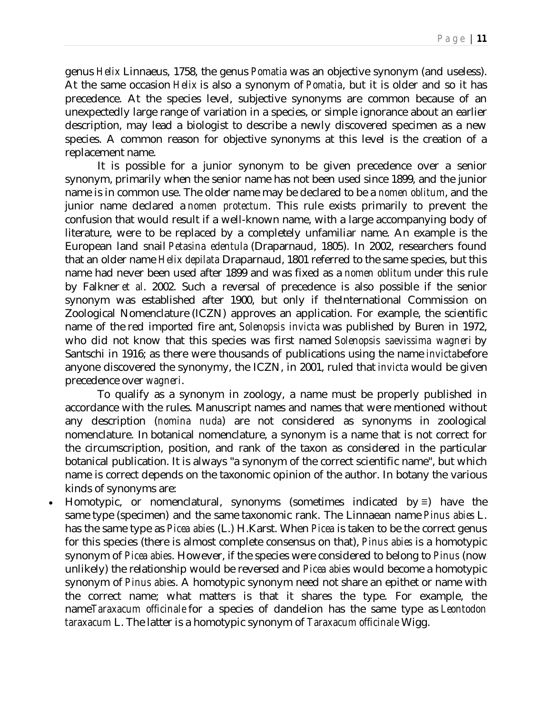genus *Helix* Linnaeus, 1758, the genus *Pomatia* was an objective synonym (and useless). At the same occasion *Helix* is also a synonym of *Pomatia*, but it is older and so it has precedence. At the species level, subjective synonyms are common because of an unexpectedly large range of variation in a species, or simple ignorance about an earlier description, may lead a biologist to describe a newly discovered specimen as a new species. A common reason for objective synonyms at this level is the creation of a replacement name.

It is possible for a junior synonym to be given precedence over a senior synonym, primarily when the senior name has not been used since 1899, and the junior name is in common use. The older name may be declared to be a *nomen oblitum*, and the junior name declared a *nomen protectum*. This rule exists primarily to prevent the confusion that would result if a well-known name, with a large accompanying body of literature, were to be replaced by a completely unfamiliar name. An example is the European land snail *Petasina edentula* (Draparnaud, 1805). In 2002, researchers found that an older name *Helix depilata* Draparnaud, 1801 referred to the same species, but this name had never been used after 1899 and was fixed as a *nomen oblitum* under this rule by Falkner *et al*. 2002. Such a reversal of precedence is also possible if the senior synonym was established after 1900, but only if theInternational Commission on Zoological Nomenclature (ICZN) approves an application. For example, the scientific name of the red imported fire ant, *Solenopsis invicta* was published by Buren in 1972, who did not know that this species was first named *Solenopsis saevissima wagneri* by Santschi in 1916; as there were thousands of publications using the name *invicta*before anyone discovered the synonymy, the ICZN, in 2001, ruled that *invicta* would be given precedence over *wagneri*.

To qualify as a synonym in zoology, a name must be properly published in accordance with the rules. Manuscript names and names that were mentioned without any description (*nomina nuda*) are not considered as synonyms in zoological nomenclature. In botanical nomenclature, a synonym is a name that is not correct for the circumscription, position, and rank of the taxon as considered in the particular botanical publication. It is always "a synonym of the correct scientific name", but which name is correct depends on the taxonomic opinion of the author. In botany the various kinds of synonyms are:

 Homotypic, or nomenclatural, synonyms (sometimes indicated by ≡) have the same type (specimen) and the same taxonomic rank. The Linnaean name *Pinus abies* L. has the same type as *Picea abies* (L.) H.Karst. When *Picea* is taken to be the correct genus for this species (there is almost complete consensus on that), *Pinus abies* is a homotypic synonym of *Picea abies*. However, if the species were considered to belong to *Pinus* (now unlikely) the relationship would be reversed and *Picea abies* would become a homotypic synonym of *Pinus abies*. A homotypic synonym need not share an epithet or name with the correct name; what matters is that it shares the type. For example, the name*Taraxacum officinale* for a species of dandelion has the same type as *Leontodon taraxacum* L. The latter is a homotypic synonym of *Taraxacum officinale* Wigg.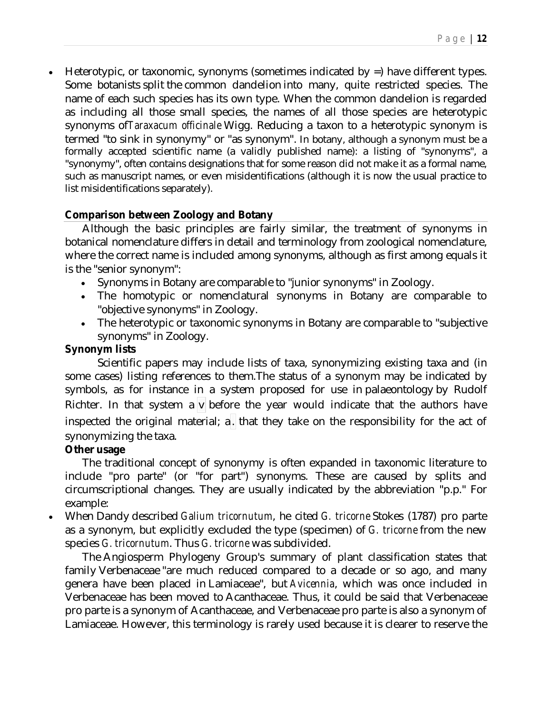Heterotypic, or taxonomic, synonyms (sometimes indicated by =) have different types. Some botanists split the common dandelion into many, quite restricted species. The name of each such species has its own type. When the common dandelion is regarded as including all those small species, the names of all those species are heterotypic synonyms of*Taraxacum officinale* Wigg. Reducing a taxon to a heterotypic synonym is termed "to sink in synonymy" or "as synonym". In botany, although a synonym must be a formally accepted scientific name (a validly published name): a listing of "synonyms", a "synonymy", often contains designations that for some reason did not make it as a formal name, such as manuscript names, or even misidentifications (although it is now the usual practice to list misidentifications separately).

#### **Comparison between Zoology and Botany**

Although the basic principles are fairly similar, the treatment of synonyms in botanical nomenclature differs in detail and terminology from zoological nomenclature, where the correct name is included among synonyms, although as first among equals it is the "senior synonym":

- Synonyms in Botany are comparable to "junior synonyms" in Zoology.
- The homotypic or nomenclatural synonyms in Botany are comparable to "objective synonyms" in Zoology.
- The heterotypic or taxonomic synonyms in Botany are comparable to "subjective synonyms" in Zoology.

#### **Synonym lists**

Scientific papers may include lists of taxa, synonymizing existing taxa and (in some cases) listing references to them.The status of a synonym may be indicated by symbols, as for instance in a system proposed for use in palaeontology by Rudolf Richter. In that system a  $\overline{v}$  before the year would indicate that the authors have inspected the original material; a. that they take on the responsibility for the act of synonymizing the taxa.

#### **Other usage**

The traditional concept of synonymy is often expanded in taxonomic literature to include "pro parte" (or "for part") synonyms. These are caused by splits and circumscriptional changes. They are usually indicated by the abbreviation "p.p." For example:

 When Dandy described *Galium tricornutum*, he cited *G. tricorne* Stokes (1787) pro parte as a synonym, but explicitly excluded the type (specimen) of *G. tricorne* from the new species *G. tricornutum*. Thus *G. tricorne* was subdivided.

The Angiosperm Phylogeny Group's summary of plant classification states that family Verbenaceae "are much reduced compared to a decade or so ago, and many genera have been placed in Lamiaceae", but *Avicennia*, which was once included in Verbenaceae has been moved to Acanthaceae. Thus, it could be said that Verbenaceae pro parte is a synonym of Acanthaceae, and Verbenaceae pro parte is also a synonym of Lamiaceae. However, this terminology is rarely used because it is clearer to reserve the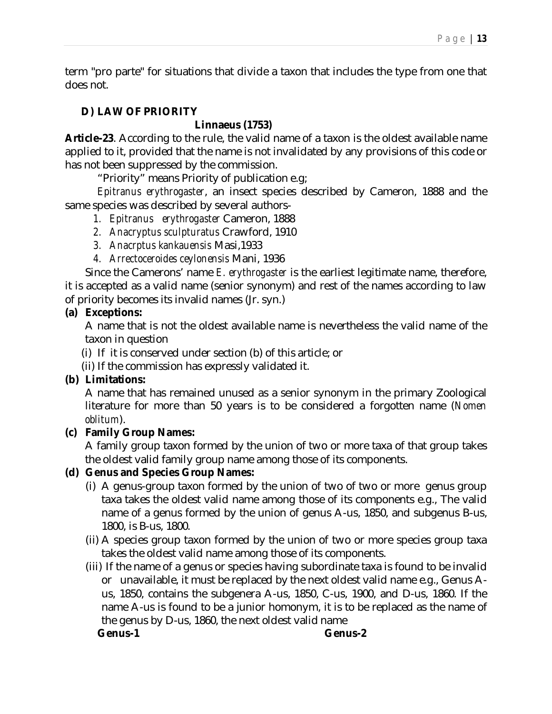term "pro parte" for situations that divide a taxon that includes the type from one that does not.

### **D) LAW OF PRIORITY**

### **Linnaeus (1753)**

**Article-23**. According to the rule, the valid name of a taxon is the oldest available name applied to it, provided that the name is not invalidated by any provisions of this code or has not been suppressed by the commission.

"Priority" means Priority of publication e.g;

*Epitranus erythrogaster*, an insect species described by Cameron, 1888 and the same species was described by several authors-

- *1. Epitranus erythrogaster* Cameron, 1888
- *2. Anacryptus sculpturatus* Crawford, 1910
- *3. Anacrptus kankauensis* Masi,1933
- *4. Arrectoceroides ceylonensis* Mani, 1936

Since the Camerons' name *E. erythrogaster* is the earliest legitimate name, therefore, it is accepted as a valid name (senior synonym) and rest of the names according to law of priority becomes its invalid names (Jr. syn.)

#### **(a) Exceptions:**

A name that is not the oldest available name is nevertheless the valid name of the taxon in question

- (i) If it is conserved under section (b) of this article; or
- (ii) If the commission has expressly validated it.

### **(b) Limitations:**

A name that has remained unused as a senior synonym in the primary Zoological literature for more than 50 years is to be considered a forgotten name (*Nomen oblitum*).

### **(c) Family Group Names:**

A family group taxon formed by the union of two or more taxa of that group takes the oldest valid family group name among those of its components.

### **(d) Genus and Species Group Names:**

- (i) A genus-group taxon formed by the union of two of two or more genus group taxa takes the oldest valid name among those of its components e.g., The valid name of a genus formed by the union of genus A-us, 1850, and subgenus B-us, 1800, is B-us, 1800.
- (ii) A species group taxon formed by the union of two or more species group taxa takes the oldest valid name among those of its components.
- (iii) If the name of a genus or species having subordinate taxa is found to be invalid or unavailable, it must be replaced by the next oldest valid name e.g., Genus Aus, 1850, contains the subgenera A-us, 1850, C-us, 1900, and D-us, 1860. If the name A-us is found to be a junior homonym, it is to be replaced as the name of the genus by D-us, 1860, the next oldest valid name

**Genus-1 Genus-2**